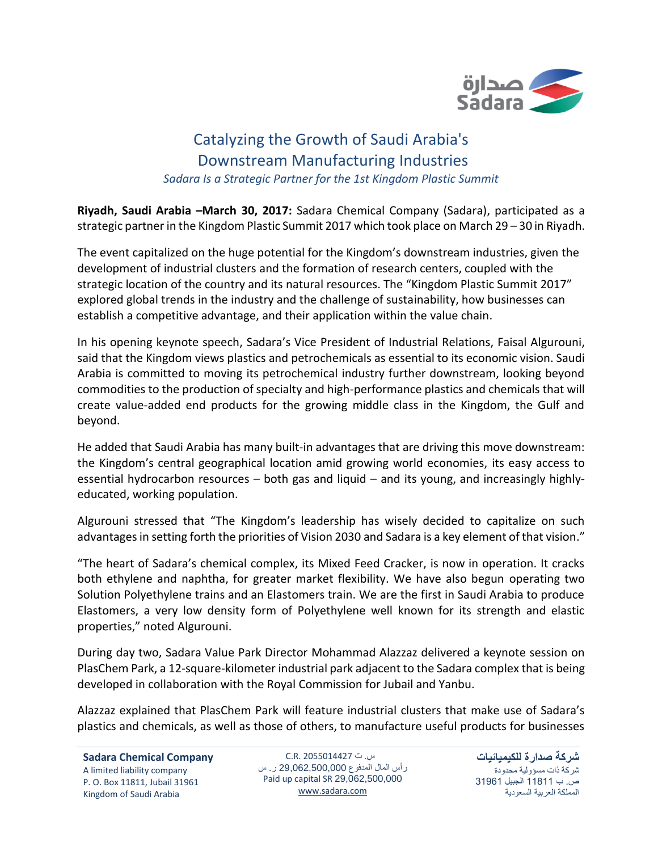

## Catalyzing the Growth of Saudi Arabia's Downstream Manufacturing Industries *Sadara Is a Strategic Partner for the 1st Kingdom Plastic Summit*

**Riyadh, Saudi Arabia –March 30, 2017:** Sadara Chemical Company (Sadara), participated as a strategic partner in the Kingdom Plastic Summit 2017 which took place on March 29 – 30 in Riyadh.

The event capitalized on the huge potential for the Kingdom's downstream industries, given the development of industrial clusters and the formation of research centers, coupled with the strategic location of the country and its natural resources. The "Kingdom Plastic Summit 2017" explored global trends in the industry and the challenge of sustainability, how businesses can establish a competitive advantage, and their application within the value chain.

In his opening keynote speech, Sadara's Vice President of Industrial Relations, Faisal Algurouni, said that the Kingdom views plastics and petrochemicals as essential to its economic vision. Saudi Arabia is committed to moving its petrochemical industry further downstream, looking beyond commodities to the production of specialty and high-performance plastics and chemicals that will create value-added end products for the growing middle class in the Kingdom, the Gulf and beyond.

He added that Saudi Arabia has many built-in advantages that are driving this move downstream: the Kingdom's central geographical location amid growing world economies, its easy access to essential hydrocarbon resources – both gas and liquid – and its young, and increasingly highlyeducated, working population.

Algurouni stressed that "The Kingdom's leadership has wisely decided to capitalize on such advantages in setting forth the priorities of Vision 2030 and Sadara is a key element of that vision."

"The heart of Sadara's chemical complex, its Mixed Feed Cracker, is now in operation. It cracks both ethylene and naphtha, for greater market flexibility. We have also begun operating two Solution Polyethylene trains and an Elastomers train. We are the first in Saudi Arabia to produce Elastomers, a very low density form of Polyethylene well known for its strength and elastic properties," noted Algurouni.

During day two, Sadara Value Park Director Mohammad Alazzaz delivered a keynote session on PlasChem Park, a 12-square-kilometer industrial park adjacent to the Sadara complex that is being developed in collaboration with the Royal Commission for Jubail and Yanbu.

Alazzaz explained that PlasChem Park will feature industrial clusters that make use of Sadara's plastics and chemicals, as well as those of others, to manufacture useful products for businesses

س. ت 2055014427 .R.C رأس المال المدفوع 29,062,500,000 ر. س Paid up capital SR 29,062,500,000 [www.sadara.com](http://www.sadara.com/)